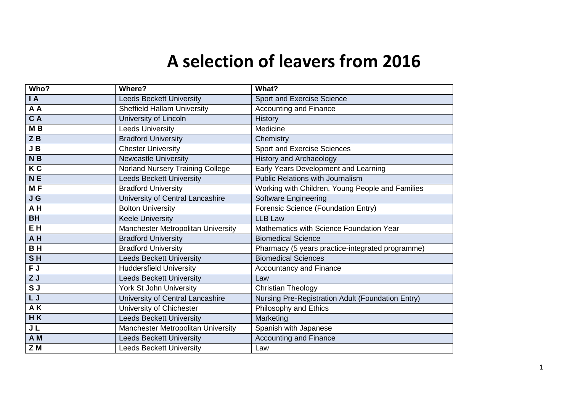## **A selection of leavers from 2016**

| Who?           | Where?                                  | What?                                             |
|----------------|-----------------------------------------|---------------------------------------------------|
| $\overline{A}$ | <b>Leeds Beckett University</b>         | Sport and Exercise Science                        |
| A A            | <b>Sheffield Hallam University</b>      | <b>Accounting and Finance</b>                     |
| C A            | University of Lincoln                   | <b>History</b>                                    |
| M <sub>B</sub> | <b>Leeds University</b>                 | Medicine                                          |
| $Z$ $B$        | <b>Bradford University</b>              | Chemistry                                         |
| $J$ B          | <b>Chester University</b>               | Sport and Exercise Sciences                       |
| N B            | <b>Newcastle University</b>             | <b>History and Archaeology</b>                    |
| K <sub>C</sub> | <b>Norland Nursery Training College</b> | Early Years Development and Learning              |
| <b>NE</b>      | <b>Leeds Beckett University</b>         | <b>Public Relations with Journalism</b>           |
| MF             | <b>Bradford University</b>              | Working with Children, Young People and Families  |
| J G            | University of Central Lancashire        | <b>Software Engineering</b>                       |
| AH             | <b>Bolton University</b>                | Forensic Science (Foundation Entry)               |
| <b>BH</b>      | <b>Keele University</b>                 | <b>LLB Law</b>                                    |
| EH             | Manchester Metropolitan University      | Mathematics with Science Foundation Year          |
| AH             | <b>Bradford University</b>              | <b>Biomedical Science</b>                         |
| <b>BH</b>      | <b>Bradford University</b>              | Pharmacy (5 years practice-integrated programme)  |
| SH             | <b>Leeds Beckett University</b>         | <b>Biomedical Sciences</b>                        |
| F J            | <b>Huddersfield University</b>          | <b>Accountancy and Finance</b>                    |
| ZJ             | <b>Leeds Beckett University</b>         | Law                                               |
| SJ             | York St John University                 | <b>Christian Theology</b>                         |
| LJ             | University of Central Lancashire        | Nursing Pre-Registration Adult (Foundation Entry) |
| AK             | University of Chichester                | Philosophy and Ethics                             |
| HK             | <b>Leeds Beckett University</b>         | Marketing                                         |
| J <sub>L</sub> | Manchester Metropolitan University      | Spanish with Japanese                             |
| A <sub>M</sub> | <b>Leeds Beckett University</b>         | <b>Accounting and Finance</b>                     |
| Z M            | <b>Leeds Beckett University</b>         | Law                                               |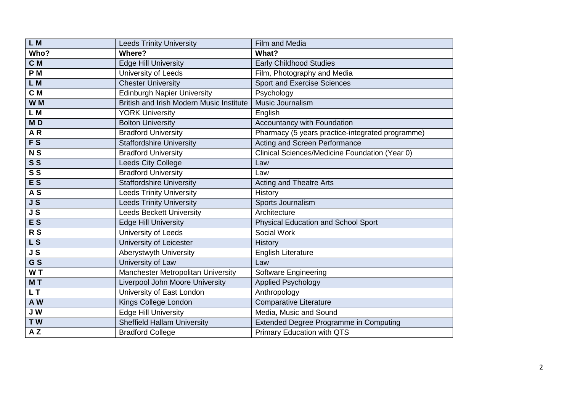| LM                       | <b>Leeds Trinity University</b>          | Film and Media                                   |
|--------------------------|------------------------------------------|--------------------------------------------------|
| Who?                     | Where?                                   | What?                                            |
| C M                      | <b>Edge Hill University</b>              | <b>Early Childhood Studies</b>                   |
| P <sub>M</sub>           | University of Leeds                      | Film, Photography and Media                      |
| L M                      | <b>Chester University</b>                | <b>Sport and Exercise Sciences</b>               |
| C M                      | <b>Edinburgh Napier University</b>       | Psychology                                       |
| W M                      | British and Irish Modern Music Institute | Music Journalism                                 |
| L M                      | <b>YORK University</b>                   | English                                          |
| MD                       | <b>Bolton University</b>                 | Accountancy with Foundation                      |
| AR                       | <b>Bradford University</b>               | Pharmacy (5 years practice-integrated programme) |
| $\overline{FS}$          | <b>Staffordshire University</b>          | Acting and Screen Performance                    |
| N <sub>S</sub>           | <b>Bradford University</b>               | Clinical Sciences/Medicine Foundation (Year 0)   |
| $S\overline{S}$          | Leeds City College                       | Law                                              |
| $\overline{\mathbf{s}}$  | <b>Bradford University</b>               | Law                                              |
| <b>ES</b>                | <b>Staffordshire University</b>          | <b>Acting and Theatre Arts</b>                   |
| A S                      | <b>Leeds Trinity University</b>          | History                                          |
| JS                       | <b>Leeds Trinity University</b>          | Sports Journalism                                |
| JS                       | <b>Leeds Beckett University</b>          | Architecture                                     |
| <b>ES</b>                | <b>Edge Hill University</b>              | <b>Physical Education and School Sport</b>       |
| R <sub>S</sub>           | University of Leeds                      | Social Work                                      |
| $\overline{\mathsf{LS}}$ | <b>University of Leicester</b>           | History                                          |
| $\overline{\mathsf{JS}}$ | Aberystwyth University                   | <b>English Literature</b>                        |
| G S                      | University of Law                        | Law                                              |
| WT                       | Manchester Metropolitan University       | <b>Software Engineering</b>                      |
| MT                       | <b>Liverpool John Moore University</b>   | <b>Applied Psychology</b>                        |
| L <sub>T</sub>           | University of East London                | Anthropology                                     |
| A W                      | Kings College London                     | Comparative Literature                           |
| JW                       | <b>Edge Hill University</b>              | Media, Music and Sound                           |
| TW                       | <b>Sheffield Hallam University</b>       | <b>Extended Degree Programme in Computing</b>    |
| AZ                       | <b>Bradford College</b>                  | <b>Primary Education with QTS</b>                |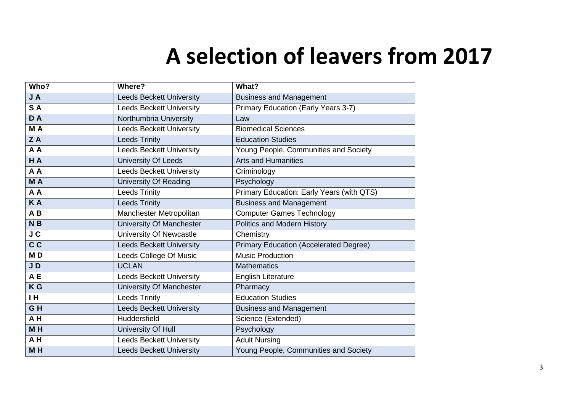## **A selection of leavers from 2017**

| Who?                                | Where?                          | What?                                         |
|-------------------------------------|---------------------------------|-----------------------------------------------|
| JA                                  | <b>Leeds Beckett University</b> | <b>Business and Management</b>                |
| SA                                  | <b>Leeds Beckett University</b> | Primary Education (Early Years 3-7)           |
| DA                                  | Northumbria University          | Law                                           |
| M A                                 | <b>Leeds Beckett University</b> | <b>Biomedical Sciences</b>                    |
| ZA                                  | <b>Leeds Trinity</b>            | <b>Education Studies</b>                      |
| A A                                 | <b>Leeds Beckett University</b> | Young People, Communities and Society         |
| H A                                 | <b>University Of Leeds</b>      | <b>Arts and Humanities</b>                    |
| A A                                 | <b>Leeds Beckett University</b> | Criminology                                   |
| M A                                 | <b>University Of Reading</b>    | Psychology                                    |
| A A                                 | <b>Leeds Trinity</b>            | Primary Education: Early Years (with QTS)     |
| <b>KA</b>                           | <b>Leeds Trinity</b>            | <b>Business and Management</b>                |
| AB                                  | Manchester Metropolitan         | <b>Computer Games Technology</b>              |
| N <sub>B</sub>                      | <b>University Of Manchester</b> | Politics and Modern History                   |
| $\overline{\mathsf{J}\,\mathsf{C}}$ | University Of Newcastle         | Chemistry                                     |
| C <sub>C</sub>                      | <b>Leeds Beckett University</b> | <b>Primary Education (Accelerated Degree)</b> |
| MD                                  | Leeds College Of Music          | <b>Music Production</b>                       |
| JD                                  | <b>UCLAN</b>                    | <b>Mathematics</b>                            |
| AE                                  | <b>Leeds Beckett University</b> | <b>English Literature</b>                     |
| K <sub>G</sub>                      | <b>University Of Manchester</b> | Pharmacy                                      |
| IH.                                 | <b>Leeds Trinity</b>            | <b>Education Studies</b>                      |
| GH                                  | <b>Leeds Beckett University</b> | <b>Business and Management</b>                |
| AH                                  | Huddersfield                    | Science (Extended)                            |
| M <sub>H</sub>                      | University Of Hull              | Psychology                                    |
| AH                                  | <b>Leeds Beckett University</b> | <b>Adult Nursing</b>                          |
| M <sub>H</sub>                      | <b>Leeds Beckett University</b> | Young People, Communities and Society         |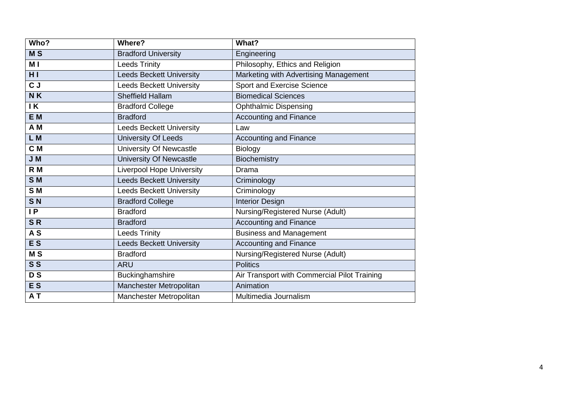| Who?           | Where?                           | What?                                        |
|----------------|----------------------------------|----------------------------------------------|
| M <sub>S</sub> | <b>Bradford University</b>       | Engineering                                  |
| M I            | <b>Leeds Trinity</b>             | Philosophy, Ethics and Religion              |
| H <sub>1</sub> | <b>Leeds Beckett University</b>  | Marketing with Advertising Management        |
| CJ             | <b>Leeds Beckett University</b>  | Sport and Exercise Science                   |
| NK             | <b>Sheffield Hallam</b>          | <b>Biomedical Sciences</b>                   |
| IK             | <b>Bradford College</b>          | <b>Ophthalmic Dispensing</b>                 |
| E M            | <b>Bradford</b>                  | <b>Accounting and Finance</b>                |
| A M            | <b>Leeds Beckett University</b>  | Law                                          |
| L M            | <b>University Of Leeds</b>       | <b>Accounting and Finance</b>                |
| C <sub>M</sub> | University Of Newcastle          | Biology                                      |
| J M            | University Of Newcastle          | Biochemistry                                 |
| R M            | <b>Liverpool Hope University</b> | Drama                                        |
| S <sub>M</sub> | <b>Leeds Beckett University</b>  | Criminology                                  |
| SM             | <b>Leeds Beckett University</b>  | Criminology                                  |
| S <sub>N</sub> | <b>Bradford College</b>          | <b>Interior Design</b>                       |
| IP             | <b>Bradford</b>                  | Nursing/Registered Nurse (Adult)             |
| SR             | <b>Bradford</b>                  | <b>Accounting and Finance</b>                |
| A <sub>S</sub> | <b>Leeds Trinity</b>             | <b>Business and Management</b>               |
| E <sub>S</sub> | <b>Leeds Beckett University</b>  | <b>Accounting and Finance</b>                |
| M <sub>S</sub> | <b>Bradford</b>                  | Nursing/Registered Nurse (Adult)             |
| S <sub>S</sub> | <b>ARU</b>                       | <b>Politics</b>                              |
| <b>DS</b>      | Buckinghamshire                  | Air Transport with Commercial Pilot Training |
| <b>ES</b>      | Manchester Metropolitan          | Animation                                    |
| AT             | Manchester Metropolitan          | Multimedia Journalism                        |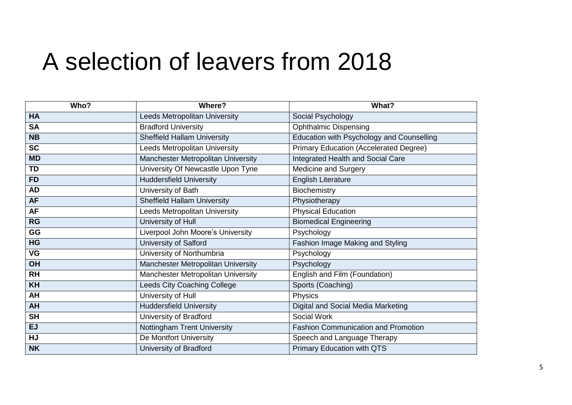## A selection of leavers from 2018

| Who?            | Where?                               | What?                                            |
|-----------------|--------------------------------------|--------------------------------------------------|
| <b>HA</b>       | <b>Leeds Metropolitan University</b> | Social Psychology                                |
| <b>SA</b>       | <b>Bradford University</b>           | <b>Ophthalmic Dispensing</b>                     |
| <b>NB</b>       | <b>Sheffield Hallam University</b>   | <b>Education with Psychology and Counselling</b> |
| $\overline{SC}$ | Leeds Metropolitan University        | <b>Primary Education (Accelerated Degree)</b>    |
| <b>MD</b>       | Manchester Metropolitan University   | Integrated Health and Social Care                |
| <b>TD</b>       | University Of Newcastle Upon Tyne    | Medicine and Surgery                             |
| <b>FD</b>       | <b>Huddersfield University</b>       | <b>English Literature</b>                        |
| <b>AD</b>       | University of Bath                   | Biochemistry                                     |
| <b>AF</b>       | <b>Sheffield Hallam University</b>   | Physiotherapy                                    |
| <b>AF</b>       | Leeds Metropolitan University        | <b>Physical Education</b>                        |
| <b>RG</b>       | University of Hull                   | <b>Biomedical Engineering</b>                    |
| GG              | Liverpool John Moore's University    | Psychology                                       |
| HG              | University of Salford                | Fashion Image Making and Styling                 |
| <b>VG</b>       | University of Northumbria            | Psychology                                       |
| OH              | Manchester Metropolitan University   | Psychology                                       |
| <b>RH</b>       | Manchester Metropolitan University   | English and Film (Foundation)                    |
| <b>KH</b>       | Leeds City Coaching College          | Sports (Coaching)                                |
| AH              | University of Hull                   | Physics                                          |
| <b>AH</b>       | <b>Huddersfield University</b>       | Digital and Social Media Marketing               |
| <b>SH</b>       | University of Bradford               | Social Work                                      |
| <b>EJ</b>       | <b>Nottingham Trent University</b>   | <b>Fashion Communication and Promotion</b>       |
| HJ              | De Montfort University               | Speech and Language Therapy                      |
| <b>NK</b>       | University of Bradford               | <b>Primary Education with QTS</b>                |